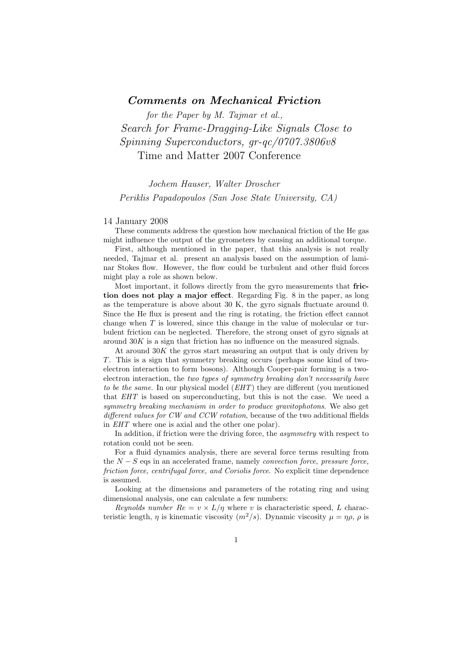## Comments on Mechanical Friction

for the Paper by M. Tajmar et al., Search for Frame-Dragging-Like Signals Close to Spinning Superconductors, gr-qc/0707.3806v8 Time and Matter 2007 Conference

## Jochem Hauser, Walter Droscher Periklis Papadopoulos (San Jose State University, CA)

## 14 January 2008

These comments address the question how mechanical friction of the He gas might influence the output of the gyrometers by causing an additional torque.

First, although mentioned in the paper, that this analysis is not really needed, Tajmar et al. present an analysis based on the assumption of laminar Stokes flow. However, the flow could be turbulent and other fluid forces might play a role as shown below.

Most important, it follows directly from the gyro measurements that friction does not play a major effect. Regarding Fig. 8 in the paper, as long as the temperature is above about 30 K, the gyro signals fluctuate around 0. Since the He flux is present and the ring is rotating, the friction effect cannot change when  $T$  is lowered, since this change in the value of molecular or turbulent friction can be neglected. Therefore, the strong onset of gyro signals at around  $30K$  is a sign that friction has no influence on the measured signals.

At around  $30K$  the gyros start measuring an output that is only driven by T. This is a sign that symmetry breaking occurs (perhaps some kind of twoelectron interaction to form bosons). Although Cooper-pair forming is a twoelectron interaction, the two types of symmetry breaking don't necessarily have to be the same. In our physical model (*EHT*) they are different (you mentioned that EHT is based on superconducting, but this is not the case. We need a symmetry breaking mechanism in order to produce gravitophotons. We also get different values for CW and CCW rotation, because of the two additional ffields in EHT where one is axial and the other one polar).

In addition, if friction were the driving force, the *asymmetry* with respect to rotation could not be seen.

For a fluid dynamics analysis, there are several force terms resulting from the  $N-S$  eqs in an accelerated frame, namely *convection force, pressure force*, friction force, centrifugal force, and Coriolis force. No explicit time dependence is assumed.

Looking at the dimensions and parameters of the rotating ring and using dimensional analysis, one can calculate a few numbers:

Reynolds number  $Re = v \times L/\eta$  where v is characteristic speed, L characteristic length,  $\eta$  is kinematic viscosity  $(m^2/s)$ . Dynamic viscosity  $\mu = \eta \rho$ ,  $\rho$  is